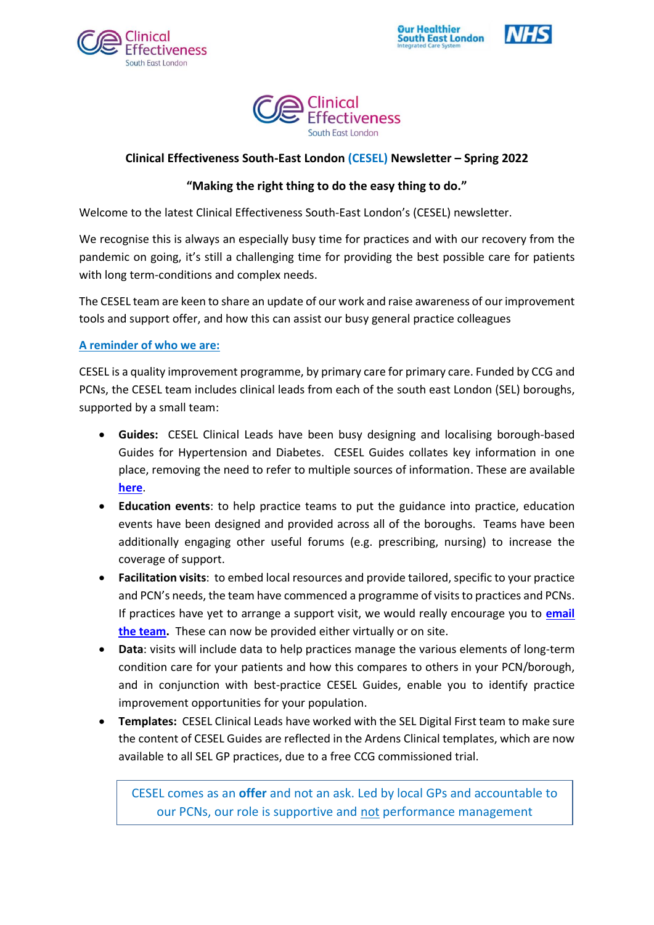







# **Clinical Effectiveness South-East London (CESEL) Newsletter – Spring 2022**

# **"Making the right thing to do the easy thing to do."**

Welcome to the latest Clinical Effectiveness South-East London's (CESEL) newsletter.

We recognise this is always an especially busy time for practices and with our recovery from the pandemic on going, it's still a challenging time for providing the best possible care for patients with long term-conditions and complex needs.

The CESEL team are keen to share an update of our work and raise awareness of our improvement tools and support offer, and how this can assist our busy general practice colleagues

## **A reminder of who we are:**

CESEL is a quality improvement programme, by primary care for primary care. Funded by CCG and PCNs, the CESEL team includes clinical leads from each of the south east London (SEL) boroughs, supported by a small team:

- **Guides:** CESEL Clinical Leads have been busy designing and localising borough-based Guides for Hypertension and Diabetes. CESEL Guides collates key information in one place, removing the need to refer to multiple sources of information. These are available **[here](https://selondonccg.nhs.uk/covid_19/clinical-effectiveness-sel/)**.
- **Education events**: to help practice teams to put the guidance into practice, education events have been designed and provided across all of the boroughs. Teams have been additionally engaging other useful forums (e.g. prescribing, nursing) to increase the coverage of support.
- **Facilitation visits**: to embed local resources and provide tailored, specific to your practice and PCN's needs, the team have commenced a programme of visits to practices and PCNs. If practices have yet to arrange a support visit, we would really encourage you to **[email](mailto:selccg.clinicaleffectiveness@nhs.net)  [the team.](mailto:selccg.clinicaleffectiveness@nhs.net)** These can now be provided either virtually or on site.
- **Data**: visits will include data to help practices manage the various elements of long-term condition care for your patients and how this compares to others in your PCN/borough, and in conjunction with best-practice CESEL Guides, enable you to identify practice improvement opportunities for your population.
- **Templates:** CESEL Clinical Leads have worked with the SEL Digital First team to make sure the content of CESEL Guides are reflected in the Ardens Clinical templates, which are now available to all SEL GP practices, due to a free CCG commissioned trial.

CESEL comes as an **offer** and not an ask. Led by local GPs and accountable to our PCNs, our role is supportive and not performance management